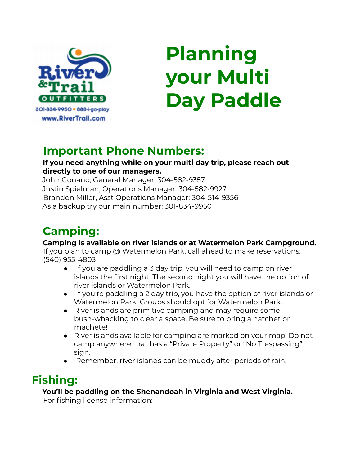

# **Planning your Multi Day Paddle**

### **Important Phone Numbers:**

#### **If you need anything while on your multi day trip, please reach out directly to one of our managers.**

John Gonano, General Manager: 304-582-9357 Justin Spielman, Operations Manager: 304-582-9927 Brandon Miller, Asst Operations Manager: 304-514-9356 As a backup try our main number: 301-834-9950

## **Camping:**

#### **Camping is available on river islands or at Watermelon Park Campground.**

If you plan to camp @ Watermelon Park, call ahead to make reservations: (540) 955-4803

- If you are paddling a 3 day trip, you will need to camp on river islands the first night. The second night you will have the option of river islands or Watermelon Park.
- If you're paddling a 2 day trip, you have the option of river islands or Watermelon Park. Groups should opt for Watermelon Park.
- River islands are primitive camping and may require some bush-whacking to clear a space. Be sure to bring a hatchet or machete!
- River islands available for camping are marked on your map. Do not camp anywhere that has a "Private Property" or "No Trespassing" sign.
- Remember, river islands can be muddy after periods of rain.

## **Fishing:**

#### **You'll be paddling on the Shenandoah in Virginia and West Virginia.**

For fishing license information: